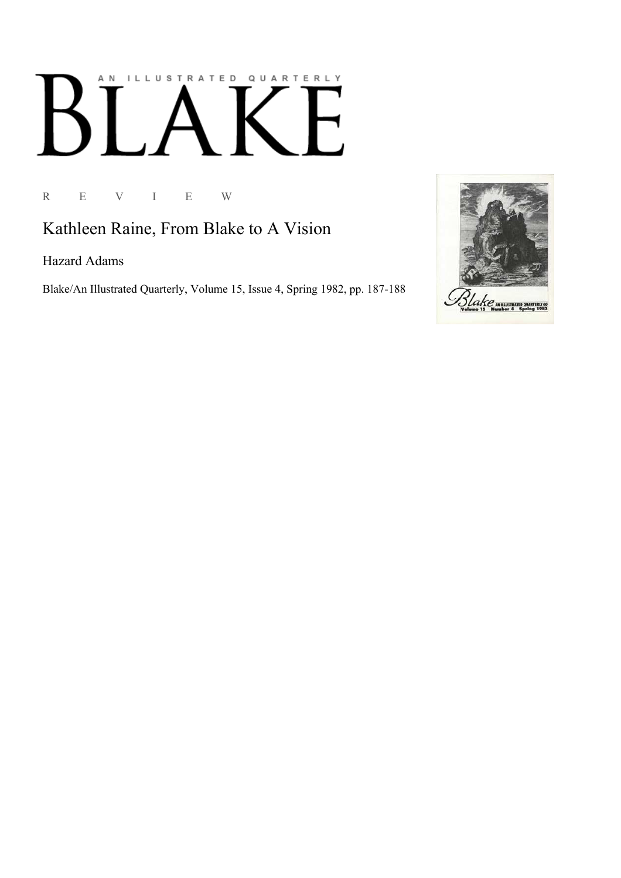## ILLUSTRATED QUARTERLY A N  $\mathsf{L}$ Ӄ

R E V I E W

Kathleen Raine, From Blake to A Vision

Hazard Adams

Blake/An Illustrated Quarterly, Volume 15, Issue 4, Spring 1982, pp. 187-188

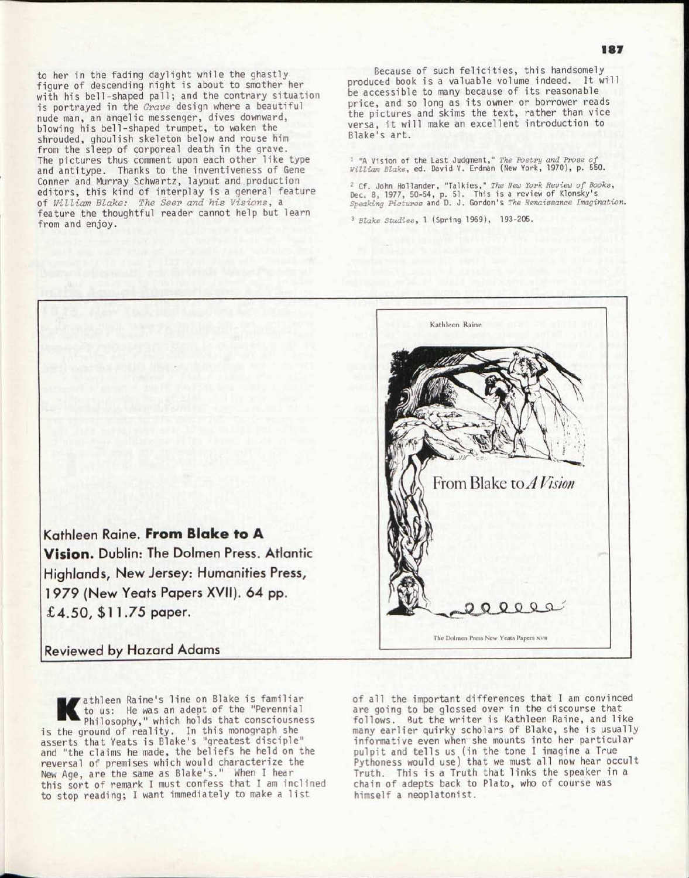to her in the fading daylight while the ghastly figure of descending night is about to smother her with his bell-shaped pall; and the contrary situation is portrayed in the *Grave* design where a beautiful nude man, an angelic messenger, dives downward, blowing his bell-shaped trumpet, to waken the shrouded, ghoulish skeleton below and rouse him from the sleep of corporeal death in the grave. The pictures thus comment upon each other like type and antitype. Thanks to the inventiveness of Gene Conner and Murray Schwartz, layout and production editors, this kind of interplay is a general feature of *William Blake: The Seer and his Visions,* a feature the thoughtful reader cannot help but learn from and enjoy.

Because of such felicities, this handsomely produced book is a valuable volume indeed. It will be accessible to many because of its reasonable price, and so long as its owner or borrower reads the pictures and skims the text, rather than vice versa, it will make an excellent introduction to Blake's art.

1 "A Vision of the Last Judgment," *The Poetry and Prose of William Blake,* ed. David V. Erdman (New York, 1970), p. 550.

2 Cf. John Hollander, "Talkies," *The New York Review of Books,*  Dec. 8, 1977, 50-54, p. 51. This is a review of Klonsky's *Speaking Pictures* and D. J . Gordon's *The Renaissance Imagination.* 

3  *Blake Studies,* 1 (Spring 1969), 193-205.



Kathleen Raine. From Blake to A Vision. Dublin: The Dolmen Press. Atlantic Highlands, New Jersey: Humanities Press, 1 979 (New Yeats Papers XVII). 64 pp. £4.50, \$1 1.75 paper.

## Reviewed by Hazard Adams

athleen Raine's line on Blake is familiar to us: He was an adept of the "Perennial Philosophy," which holds that consciousness is the ground of reality. In this monograph she asserts that Yeats is Blake's "greatest disciple" and "the claims he made, the beliefs he held on the reversal of premises which would characterize the New Age, are the same as Blake's." When I hear this sort of remark I must confess that I am inclined to stop reading; I want immediately to make a list

of all the important differences that I am convinced are going to be glossed over in the discourse that follows. But the writer is Kathleen Raine, and like many earlier quirky scholars of Blake, she is usually informative even when she mounts into her particular pulpit and tells us (in the tone I imagine a True Pythoness would use) that we must all now hear occult Truth. This is a Truth that links the speaker in a chain of adepts back to Plato, who of course was himself a neoplatonist.

## 187